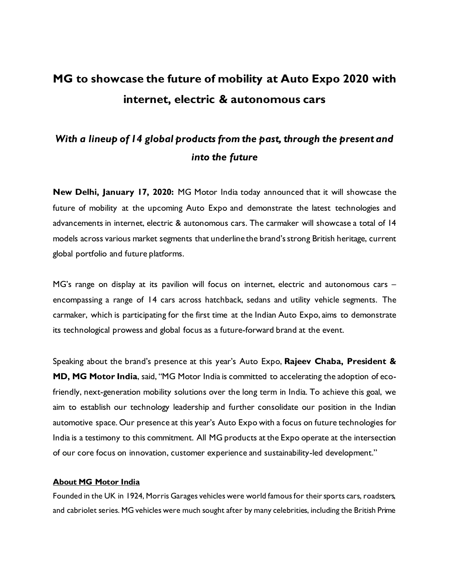## **MG to showcase the future of mobility at Auto Expo 2020 with internet, electric & autonomous cars**

## *With a lineup of 14 global products from the past, through the present and into the future*

**New Delhi, January 17, 2020:** MG Motor India today announced that it will showcase the future of mobility at the upcoming Auto Expo and demonstrate the latest technologies and advancements in internet, electric & autonomous cars. The carmaker will showcase a total of 14 models across various market segments that underline the brand's strong British heritage, current global portfolio and future platforms.

MG's range on display at its pavilion will focus on internet, electric and autonomous cars – encompassing a range of 14 cars across hatchback, sedans and utility vehicle segments. The carmaker, which is participating for the first time at the Indian Auto Expo, aims to demonstrate its technological prowess and global focus as a future-forward brand at the event.

Speaking about the brand's presence at this year's Auto Expo, **Rajeev Chaba, President & MD, MG Motor India**, said, "MG Motor India is committed to accelerating the adoption of ecofriendly, next-generation mobility solutions over the long term in India. To achieve this goal, we aim to establish our technology leadership and further consolidate our position in the Indian automotive space. Our presence at this year's Auto Expo with a focus on future technologies for India is a testimony to this commitment. All MG products at the Expo operate at the intersection of our core focus on innovation, customer experience and sustainability-led development."

## **About MG Motor India**

Founded in the UK in 1924, Morris Garages vehicles were world famous for their sports cars, roadsters, and cabriolet series. MG vehicles were much sought after by many celebrities, including the British Prime